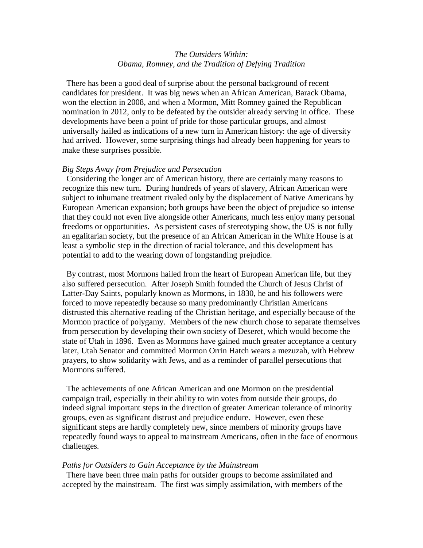## *The Outsiders Within: Obama, Romney, and the Tradition of Defying Tradition*

 There has been a good deal of surprise about the personal background of recent candidates for president. It was big news when an African American, Barack Obama, won the election in 2008, and when a Mormon, Mitt Romney gained the Republican nomination in 2012, only to be defeated by the outsider already serving in office. These developments have been a point of pride for those particular groups, and almost universally hailed as indications of a new turn in American history: the age of diversity had arrived. However, some surprising things had already been happening for years to make these surprises possible.

## *Big Steps Away from Prejudice and Persecution*

 Considering the longer arc of American history, there are certainly many reasons to recognize this new turn. During hundreds of years of slavery, African American were subject to inhumane treatment rivaled only by the displacement of Native Americans by European American expansion; both groups have been the object of prejudice so intense that they could not even live alongside other Americans, much less enjoy many personal freedoms or opportunities. As persistent cases of stereotyping show, the US is not fully an egalitarian society, but the presence of an African American in the White House is at least a symbolic step in the direction of racial tolerance, and this development has potential to add to the wearing down of longstanding prejudice.

 By contrast, most Mormons hailed from the heart of European American life, but they also suffered persecution. After Joseph Smith founded the Church of Jesus Christ of Latter-Day Saints, popularly known as Mormons, in 1830, he and his followers were forced to move repeatedly because so many predominantly Christian Americans distrusted this alternative reading of the Christian heritage, and especially because of the Mormon practice of polygamy. Members of the new church chose to separate themselves from persecution by developing their own society of Deseret, which would become the state of Utah in 1896. Even as Mormons have gained much greater acceptance a century later, Utah Senator and committed Mormon Orrin Hatch wears a mezuzah, with Hebrew prayers, to show solidarity with Jews, and as a reminder of parallel persecutions that Mormons suffered.

 The achievements of one African American and one Mormon on the presidential campaign trail, especially in their ability to win votes from outside their groups, do indeed signal important steps in the direction of greater American tolerance of minority groups, even as significant distrust and prejudice endure. However, even these significant steps are hardly completely new, since members of minority groups have repeatedly found ways to appeal to mainstream Americans, often in the face of enormous challenges.

## *Paths for Outsiders to Gain Acceptance by the Mainstream*

 There have been three main paths for outsider groups to become assimilated and accepted by the mainstream. The first was simply assimilation, with members of the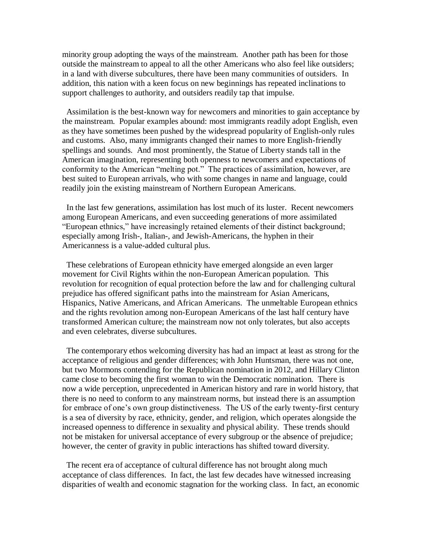minority group adopting the ways of the mainstream. Another path has been for those outside the mainstream to appeal to all the other Americans who also feel like outsiders; in a land with diverse subcultures, there have been many communities of outsiders. In addition, this nation with a keen focus on new beginnings has repeated inclinations to support challenges to authority, and outsiders readily tap that impulse.

 Assimilation is the best-known way for newcomers and minorities to gain acceptance by the mainstream. Popular examples abound: most immigrants readily adopt English, even as they have sometimes been pushed by the widespread popularity of English-only rules and customs. Also, many immigrants changed their names to more English-friendly spellings and sounds. And most prominently, the Statue of Liberty stands tall in the American imagination, representing both openness to newcomers and expectations of conformity to the American "melting pot." The practices of assimilation, however, are best suited to European arrivals, who with some changes in name and language, could readily join the existing mainstream of Northern European Americans.

 In the last few generations, assimilation has lost much of its luster. Recent newcomers among European Americans, and even succeeding generations of more assimilated "European ethnics," have increasingly retained elements of their distinct background; especially among Irish-, Italian-, and Jewish-Americans, the hyphen in their Americanness is a value-added cultural plus.

 These celebrations of European ethnicity have emerged alongside an even larger movement for Civil Rights within the non-European American population. This revolution for recognition of equal protection before the law and for challenging cultural prejudice has offered significant paths into the mainstream for Asian Americans, Hispanics, Native Americans, and African Americans. The unmeltable European ethnics and the rights revolution among non-European Americans of the last half century have transformed American culture; the mainstream now not only tolerates, but also accepts and even celebrates, diverse subcultures.

 The contemporary ethos welcoming diversity has had an impact at least as strong for the acceptance of religious and gender differences; with John Huntsman, there was not one, but two Mormons contending for the Republican nomination in 2012, and Hillary Clinton came close to becoming the first woman to win the Democratic nomination. There is now a wide perception, unprecedented in American history and rare in world history, that there is no need to conform to any mainstream norms, but instead there is an assumption for embrace of one's own group distinctiveness. The US of the early twenty-first century is a sea of diversity by race, ethnicity, gender, and religion, which operates alongside the increased openness to difference in sexuality and physical ability. These trends should not be mistaken for universal acceptance of every subgroup or the absence of prejudice; however, the center of gravity in public interactions has shifted toward diversity.

 The recent era of acceptance of cultural difference has not brought along much acceptance of class differences. In fact, the last few decades have witnessed increasing disparities of wealth and economic stagnation for the working class. In fact, an economic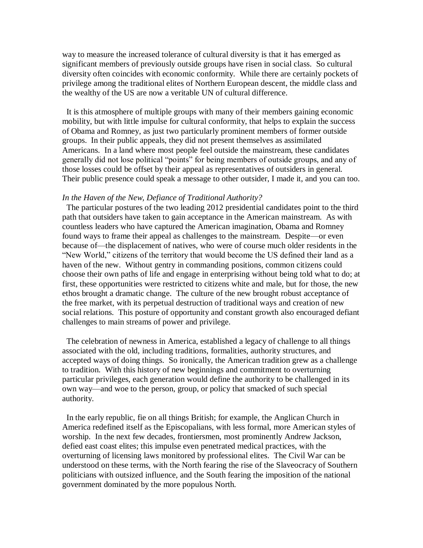way to measure the increased tolerance of cultural diversity is that it has emerged as significant members of previously outside groups have risen in social class. So cultural diversity often coincides with economic conformity. While there are certainly pockets of privilege among the traditional elites of Northern European descent, the middle class and the wealthy of the US are now a veritable UN of cultural difference.

 It is this atmosphere of multiple groups with many of their members gaining economic mobility, but with little impulse for cultural conformity, that helps to explain the success of Obama and Romney, as just two particularly prominent members of former outside groups. In their public appeals, they did not present themselves as assimilated Americans. In a land where most people feel outside the mainstream, these candidates generally did not lose political "points" for being members of outside groups, and any of those losses could be offset by their appeal as representatives of outsiders in general. Their public presence could speak a message to other outsider, I made it, and you can too.

## *In the Haven of the New, Defiance of Traditional Authority?*

 The particular postures of the two leading 2012 presidential candidates point to the third path that outsiders have taken to gain acceptance in the American mainstream. As with countless leaders who have captured the American imagination, Obama and Romney found ways to frame their appeal as challenges to the mainstream. Despite—or even because of—the displacement of natives, who were of course much older residents in the "New World," citizens of the territory that would become the US defined their land as a haven of the new. Without gentry in commanding positions, common citizens could choose their own paths of life and engage in enterprising without being told what to do; at first, these opportunities were restricted to citizens white and male, but for those, the new ethos brought a dramatic change. The culture of the new brought robust acceptance of the free market, with its perpetual destruction of traditional ways and creation of new social relations. This posture of opportunity and constant growth also encouraged defiant challenges to main streams of power and privilege.

 The celebration of newness in America, established a legacy of challenge to all things associated with the old, including traditions, formalities, authority structures, and accepted ways of doing things. So ironically, the American tradition grew as a challenge to tradition. With this history of new beginnings and commitment to overturning particular privileges, each generation would define the authority to be challenged in its own way—and woe to the person, group, or policy that smacked of such special authority.

 In the early republic, fie on all things British; for example, the Anglican Church in America redefined itself as the Episcopalians, with less formal, more American styles of worship. In the next few decades, frontiersmen, most prominently Andrew Jackson, defied east coast elites; this impulse even penetrated medical practices, with the overturning of licensing laws monitored by professional elites. The Civil War can be understood on these terms, with the North fearing the rise of the Slaveocracy of Southern politicians with outsized influence, and the South fearing the imposition of the national government dominated by the more populous North.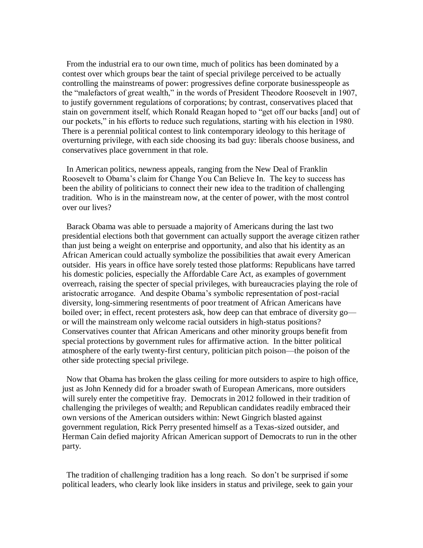From the industrial era to our own time, much of politics has been dominated by a contest over which groups bear the taint of special privilege perceived to be actually controlling the mainstreams of power: progressives define corporate businesspeople as the "malefactors of great wealth," in the words of President Theodore Roosevelt in 1907, to justify government regulations of corporations; by contrast, conservatives placed that stain on government itself, which Ronald Reagan hoped to "get off our backs [and] out of our pockets," in his efforts to reduce such regulations, starting with his election in 1980. There is a perennial political contest to link contemporary ideology to this heritage of overturning privilege, with each side choosing its bad guy: liberals choose business, and conservatives place government in that role.

 In American politics, newness appeals, ranging from the New Deal of Franklin Roosevelt to Obama's claim for Change You Can Believe In. The key to success has been the ability of politicians to connect their new idea to the tradition of challenging tradition. Who is in the mainstream now, at the center of power, with the most control over our lives?

 Barack Obama was able to persuade a majority of Americans during the last two presidential elections both that government can actually support the average citizen rather than just being a weight on enterprise and opportunity, and also that his identity as an African American could actually symbolize the possibilities that await every American outsider. His years in office have sorely tested those platforms: Republicans have tarred his domestic policies, especially the Affordable Care Act, as examples of government overreach, raising the specter of special privileges, with bureaucracies playing the role of aristocratic arrogance. And despite Obama's symbolic representation of post-racial diversity, long-simmering resentments of poor treatment of African Americans have boiled over; in effect, recent protesters ask, how deep can that embrace of diversity go or will the mainstream only welcome racial outsiders in high-status positions? Conservatives counter that African Americans and other minority groups benefit from special protections by government rules for affirmative action. In the bitter political atmosphere of the early twenty-first century, politician pitch poison—the poison of the other side protecting special privilege.

 Now that Obama has broken the glass ceiling for more outsiders to aspire to high office, just as John Kennedy did for a broader swath of European Americans, more outsiders will surely enter the competitive fray. Democrats in 2012 followed in their tradition of challenging the privileges of wealth; and Republican candidates readily embraced their own versions of the American outsiders within: Newt Gingrich blasted against government regulation, Rick Perry presented himself as a Texas-sized outsider, and Herman Cain defied majority African American support of Democrats to run in the other party.

 The tradition of challenging tradition has a long reach. So don't be surprised if some political leaders, who clearly look like insiders in status and privilege, seek to gain your